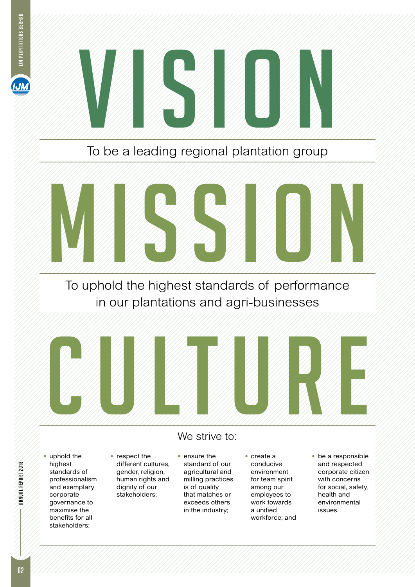



To be a leading regional plantation group



To uphold the highest standards of performance in our plantations and agri-businesses



**ANNUAL REPORT 2018** 

• uphold the highest standards of professionalism and exemplary corporate governance to maximise the benefits for all stakeholders;

• respect the different cultures, gender, religion, human rights and dignity of our stakeholders;

#### • ensure the standard of our agricultural and milling practices is of quality that matches or exceeds others in the industry;

We strive to:

• create a conducive environment for team spirit among our employees to work towards a unified workforce; and • be a responsible and respected corporate citizen with concerns for social, safety, health and environmental issues.